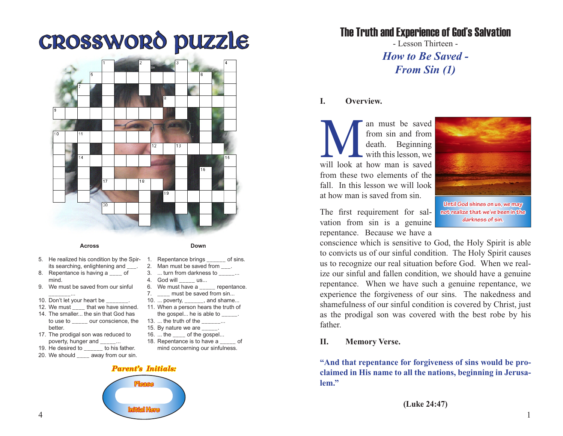# Crossword Puzzle



#### **Across**

- 
- 5. He realized his condition by the Spirits searching, enlightening and
- 8. Repentance is having a \_\_\_\_ of mind.
- 9. We must be saved from our sinful
- \_\_\_\_\_\_\_... 10. Don't let your heart be
- 12. We must \_\_\_\_ that we have sinned.
- 14. The smaller... the sin that God has to use to  $\qquad$  our conscience, the better.
- 17. The prodigal son was reduced to poverty, hunger and \_\_\_\_\_...
- 19. He desired to to his father.
- 20. We should \_\_\_\_ away from our sin.
- **Down**
- 1. Repentance brings of sins.
- 2. Man must be saved from .
- 3. ... turn from darkness to ...
- 4. God will \_\_\_\_\_ us...
- 6. We must have  $a_{\_ \_ \_ \_ \_ \_ \}$  repentance.
- 7. \_\_\_\_ must be saved from sin...
- 10. ... poverty, **example**, and shame... 11. When a person hears the truth of
	- the gospel... he is able to  $\frac{1}{1}$ .
- 13.  $\ldots$  the truth of the  $\ldots$
- 15. By nature we are
- 16. ... the of the gospel... 18. Repentance is to have a contact of
- mind concerning our sinfulness.

#### *Parent's Initials:*



The Truth and Experience of God's Salvation

- Lesson Thirteen - *How to Be Saved - From Sin (1)*

#### **I. Overview.**

Man must be saved<br>
from sin and from<br>
death. Beginning<br>
with this lesson, we<br>
will look at how man is saved from sin and from death. Beginning with this lesson, we from these two elements of the fall. In this lesson we will look at how man is saved from sin.

The first requirement for salvation from sin is a genuine repentance. Because we have a

**Until God shines on us, we may not realize that we've been in the darkness of sin.**

conscience which is sensitive to God, the Holy Spirit is able to convicts us of our sinful condition. The Holy Spirit causes us to recognize our real situation before God. When we realize our sinful and fallen condition, we should have a genuine repentance. When we have such a genuine repentance, we experience the forgiveness of our sins. The nakedness and shamefulness of our sinful condition is covered by Christ, just as the prodigal son was covered with the best robe by his father.

#### **II. Memory Verse.**

**"And that repentance for forgiveness of sins would be proclaimed in His name to all the nations, beginning in Jerusalem."**

**(Luke 24:47)**